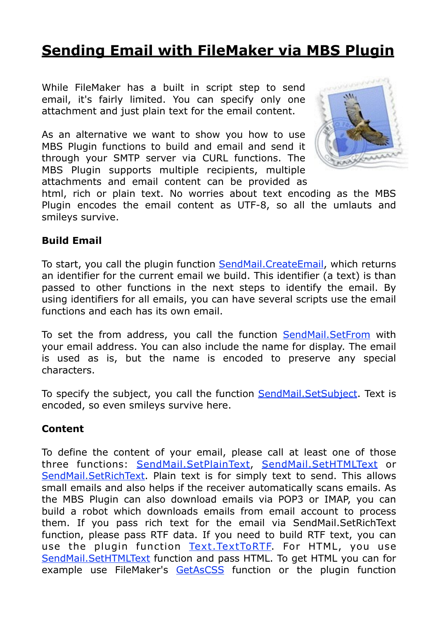# **[Sending Email with FileMaker via MBS Plugin](http://www.mbsplugins.de/archive/2014-09-29/Sending_Email_with_FileMaker_v)**

While FileMaker has a built in script step to send email, it's fairly limited. You can specify only one attachment and just plain text for the email content.

As an alternative we want to show you how to use MBS Plugin functions to build and email and send it through your SMTP server via CURL functions. The MBS Plugin supports multiple recipients, multiple attachments and email content can be provided as



html, rich or plain text. No worries about text encoding as the MBS Plugin encodes the email content as UTF-8, so all the umlauts and smileys survive.

#### **Build Email**

To start, you call the plugin function [SendMail.CreateEmail,](http://www.mbsplugins.eu/SendMailCreateEmail.shtml) which returns an identifier for the current email we build. This identifier (a text) is than passed to other functions in the next steps to identify the email. By using identifiers for all emails, you can have several scripts use the email functions and each has its own email.

To set the from address, you call the function [SendMail.SetFrom](http://www.mbsplugins.eu/SendMailSetFrom.shtml) with your email address. You can also include the name for display. The email is used as is, but the name is encoded to preserve any special characters.

To specify the subject, you call the function **SendMail. SetSubject**. Text is encoded, so even smileys survive here.

#### **Content**

To define the content of your email, please call at least one of those three functions: [SendMail.SetPlainText](http://www.mbsplugins.eu/SendMailSetPlainText.shtml), [SendMail.SetHTMLText](http://www.mbsplugins.eu/SendMailSetHTMLText.shtml) or [SendMail.SetRichText.](http://www.mbsplugins.eu/SendMailSetRichText.shtml) Plain text is for simply text to send. This allows small emails and also helps if the receiver automatically scans emails. As the MBS Plugin can also download emails via POP3 or IMAP, you can build a robot which downloads emails from email account to process them. If you pass rich text for the email via SendMail.SetRichText function, please pass RTF data. If you need to build RTF text, you can use the plugin function [Text.TextToRTF.](http://www.mbsplugins.eu/TextTextToRTF.shtml) For HTML, you use [SendMail.SetHTMLText](http://www.mbsplugins.eu/SendMailSetHTMLText.shtml) function and pass HTML. To get HTML you can for example use FileMaker's [GetAsCSS](http://www.filemaker.com/help/html/func_ref3.33.50.html#1030206) function or the plugin function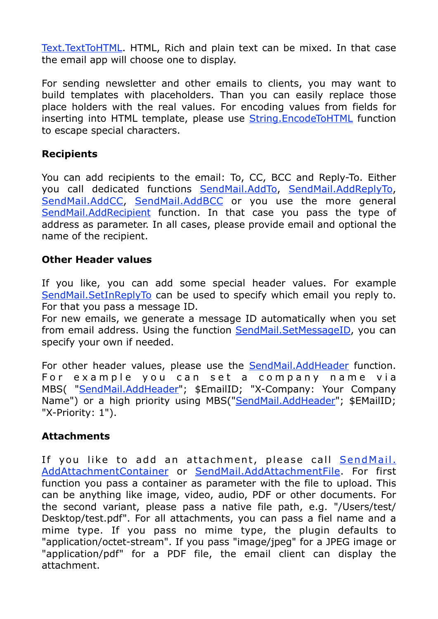[Text.TextToHTML](http://www.mbsplugins.eu/TextTextToHTML.shtml). HTML, Rich and plain text can be mixed. In that case the email app will choose one to display.

For sending newsletter and other emails to clients, you may want to build templates with placeholders. Than you can easily replace those place holders with the real values. For encoding values from fields for inserting into HTML template, please use [String.EncodeToHTML](http://www.mbsplugins.eu/StringEncodeToHTML.shtml) function to escape special characters.

# **Recipients**

You can add recipients to the email: To, CC, BCC and Reply-To. Either you call dedicated functions [SendMail.AddTo,](http://www.mbsplugins.eu/SendMailAddTo.shtml) [SendMail.AddReplyTo,](http://www.mbsplugins.eu/SendMailAddReplyTo.shtml) [SendMail.AddCC,](http://www.mbsplugins.eu/SendMailAddCC.shtml) [SendMail.AddBCC](http://www.mbsplugins.eu/SendMailAddBCC.shtml) or you use the more general [SendMail.AddRecipient](http://www.mbsplugins.eu/SendMailAddRecipient.shtml) function. In that case you pass the type of address as parameter. In all cases, please provide email and optional the name of the recipient.

#### **Other Header values**

If you like, you can add some special header values. For example [SendMail.SetInReplyTo](http://www.mbsplugins.eu/SendMailSetInReplyTo.shtml) can be used to specify which email you reply to. For that you pass a message ID.

For new emails, we generate a message ID automatically when you set from email address. Using the function **SendMail.SetMessageID**, you can specify your own if needed.

For other header values, please use the [SendMail.AddHeader](http://www.mbsplugins.eu/SendMailAddHeader.shtml) function. For example you can set a company name via MBS( "[SendMail.AddHeader"](http://www.mbsplugins.eu/SendMailAddHeader.shtml); \$EmailID; "X-Company: Your Company Name") or a high priority using MBS("[SendMail.AddHeader"](http://www.mbsplugins.eu/SendMailAddHeader.shtml); \$EMailID; "X-Priority: 1").

# **Attachments**

If you like to add an attachment, please call **SendMail.** AddAttachmentContainer or [SendMail.AddAttachmentFile.](http://www.mbsplugins.eu/SendMailAddAttachmentFile.shtml) For first function you pass a container as parameter with the file to upload. This can be anything like image, video, audio, PDF or other documents. For the second variant, please pass a native file path, e.g. "/Users/test/ Desktop/test.pdf". For all attachments, you can pass a fiel name and a mime type. If you pass no mime type, the plugin defaults to "application/octet-stream". If you pass "image/jpeg" for a JPEG image or "application/pdf" for a PDF file, the email client can display the attachment.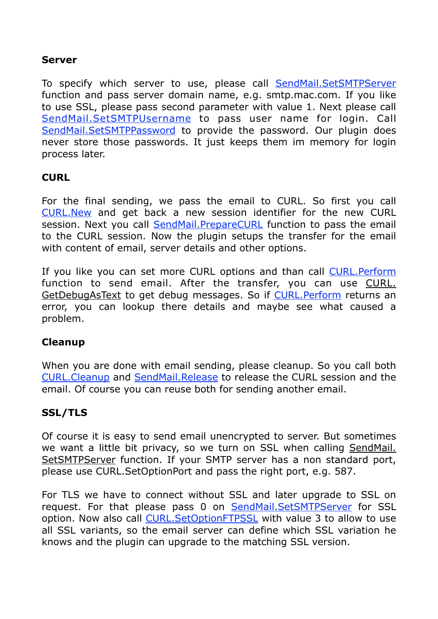#### **Server**

To specify which server to use, please call [SendMail.SetSMTPServer](http://www.mbsplugins.eu/SendMailSetSMTPServer.shtml) function and pass server domain name, e.g. smtp.mac.com. If you like to use SSL, please pass second parameter with value 1. Next please call [SendMail.SetSMTPUsername](http://www.mbsplugins.eu/SendMailSetSMTPUserName.shtml) to pass user name for login. Call [SendMail.SetSMTPPassword](http://www.mbsplugins.eu/SendMailSetSMTPPassword.shtml) to provide the password. Our plugin does never store those passwords. It just keeps them im memory for login process later.

#### **CURL**

For the final sending, we pass the email to CURL. So first you call [CURL.New](http://www.mbsplugins.eu/CURLNew.shtml) and get back a new session identifier for the new CURL session. Next you call [SendMail.PrepareCURL](http://www.mbsplugins.eu/SendMailPrepareCURL.shtml) function to pass the email to the CURL session. Now the plugin setups the transfer for the email with content of email, server details and other options.

If you like you can set more CURL options and than call [CURL.Perform](http://www.mbsplugins.eu/CURLPerform.shtml) function to send email. After the transfer, you can use CURL. GetDebugAsText to get debug messages. So if [CURL.Perform](http://www.mbsplugins.eu/CURLPerform.shtml) returns an error, you can lookup there details and maybe see what caused a problem.

#### **Cleanup**

When you are done with email sending, please cleanup. So you call both [CURL.Cleanup](http://www.mbsplugins.eu/CURLCleanup.shtml) and [SendMail.Release](http://www.mbsplugins.eu/SendMailRelease.shtml) to release the CURL session and the email. Of course you can reuse both for sending another email.

# **SSL/TLS**

Of course it is easy to send email unencrypted to server. But sometimes [we want a little bit privacy, so we turn on SSL when calling SendMail.](http://www.mbsplugins.eu/SendMailSetSMTPServer.shtml)  SetSMTPServer function. If your SMTP server has a non standard port, please use CURL.SetOptionPort and pass the right port, e.g. 587.

For TLS we have to connect without SSL and later upgrade to SSL on request. For that please pass 0 on [SendMail.SetSMTPServer](http://www.mbsplugins.eu/SendMailSetSMTPServer.shtml) for SSL option. Now also call [CURL.SetOptionFTPSSL](http://www.mbsplugins.eu/CURLSetOptionFTPSSL.shtml) with value 3 to allow to use all SSL variants, so the email server can define which SSL variation he knows and the plugin can upgrade to the matching SSL version.